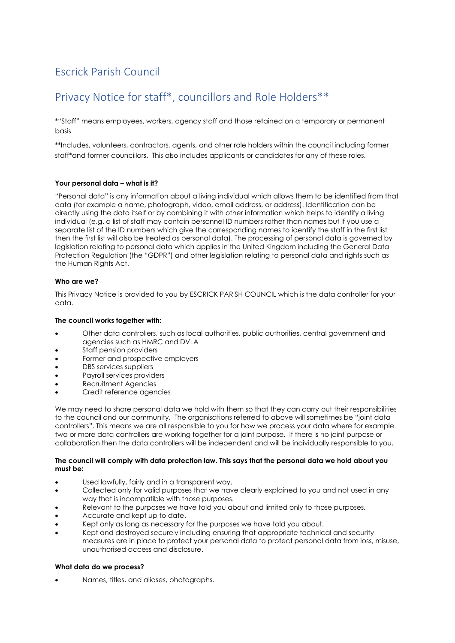# Escrick Parish Council

# Privacy Notice for staff\*, councillors and Role Holders\*\*

\*"Staff" means employees, workers, agency staff and those retained on a temporary or permanent basis

\*\*Includes, volunteers, contractors, agents, and other role holders within the council including former staff\*and former councillors. This also includes applicants or candidates for any of these roles.

# **Your personal data – what is it?**

"Personal data" is any information about a living individual which allows them to be identified from that data (for example a name, photograph, video, email address, or address). Identification can be directly using the data itself or by combining it with other information which helps to identify a living individual (e.g. a list of staff may contain personnel ID numbers rather than names but if you use a separate list of the ID numbers which give the corresponding names to identify the staff in the first list then the first list will also be treated as personal data). The processing of personal data is governed by legislation relating to personal data which applies in the United Kingdom including the General Data Protection Regulation (the "GDPR") and other legislation relating to personal data and rights such as the Human Rights Act.

# **Who are we?**

This Privacy Notice is provided to you by ESCRICK PARISH COUNCIL which is the data controller for your data.

# **The council works together with:**

- Other data controllers, such as local authorities, public authorities, central government and agencies such as HMRC and DVLA
- Staff pension providers
- Former and prospective employers
- DBS services suppliers
- Payroll services providers
- Recruitment Agencies
- Credit reference agencies

We may need to share personal data we hold with them so that they can carry out their responsibilities to the council and our community. The organisations referred to above will sometimes be "joint data controllers". This means we are all responsible to you for how we process your data where for example two or more data controllers are working together for a joint purpose. If there is no joint purpose or collaboration then the data controllers will be independent and will be individually responsible to you.

## **The council will comply with data protection law. This says that the personal data we hold about you must be:**

- Used lawfully, fairly and in a transparent way.
- Collected only for valid purposes that we have clearly explained to you and not used in any way that is incompatible with those purposes.
- Relevant to the purposes we have told you about and limited only to those purposes.
- Accurate and kept up to date.
- Kept only as long as necessary for the purposes we have told you about.
- Kept and destroyed securely including ensuring that appropriate technical and security measures are in place to protect your personal data to protect personal data from loss, misuse, unauthorised access and disclosure.

# **What data do we process?**

• Names, titles, and aliases, photographs.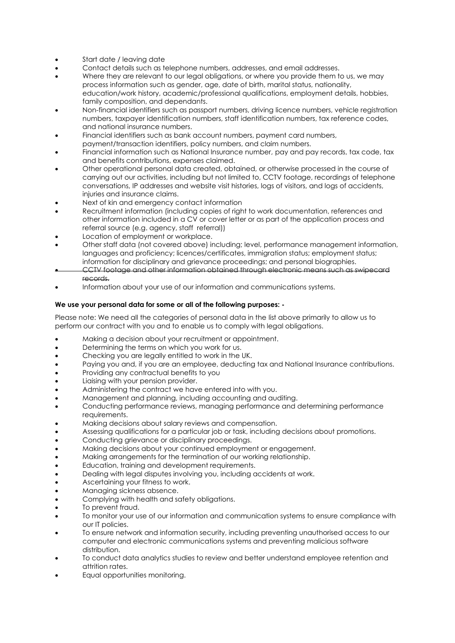- Start date / leaving date
- Contact details such as telephone numbers, addresses, and email addresses.
- Where they are relevant to our legal obligations, or where you provide them to us, we may process information such as gender, age, date of birth, marital status, nationality, education/work history, academic/professional qualifications, employment details, hobbies, family composition, and dependants.
- Non-financial identifiers such as passport numbers, driving licence numbers, vehicle registration numbers, taxpayer identification numbers, staff identification numbers, tax reference codes, and national insurance numbers.
- Financial identifiers such as bank account numbers, payment card numbers, payment/transaction identifiers, policy numbers, and claim numbers.
- Financial information such as National Insurance number, pay and pay records, tax code, tax and benefits contributions, expenses claimed.
- Other operational personal data created, obtained, or otherwise processed in the course of carrying out our activities, including but not limited to, CCTV footage, recordings of telephone conversations, IP addresses and website visit histories, logs of visitors, and logs of accidents, injuries and insurance claims.
- Next of kin and emergency contact information
- Recruitment information (including copies of right to work documentation, references and other information included in a CV or cover letter or as part of the application process and referral source (e.g. agency, staff referral))
- Location of employment or workplace.
- Other staff data (not covered above) including; level, performance management information, languages and proficiency; licences/certificates, immigration status; employment status; information for disciplinary and grievance proceedings; and personal biographies.
- CCTV footage and other information obtained through electronic means such as swipecard records.
- Information about your use of our information and communications systems.

# **We use your personal data for some or all of the following purposes: -**

Please note: We need all the categories of personal data in the list above primarily to allow us to perform our contract with you and to enable us to comply with legal obligations.

- Making a decision about your recruitment or appointment.
- Determining the terms on which you work for us.
- Checking you are legally entitled to work in the UK.
- Paying you and, if you are an employee, deducting tax and National Insurance contributions.
- Providing any contractual benefits to you
- Liaising with your pension provider.
- Administering the contract we have entered into with you.
- Management and planning, including accounting and auditing.
- Conducting performance reviews, managing performance and determining performance requirements.
- Making decisions about salary reviews and compensation.
- Assessing qualifications for a particular job or task, including decisions about promotions.
- Conducting grievance or disciplinary proceedings.
- Making decisions about your continued employment or engagement.
- Making arrangements for the termination of our working relationship.
- Education, training and development requirements.
- Dealing with legal disputes involving you, including accidents at work.
- Ascertaining your fitness to work.
- Managing sickness absence.
- Complying with health and safety obligations.
- To prevent fraud.
- To monitor your use of our information and communication systems to ensure compliance with our IT policies.
- To ensure network and information security, including preventing unauthorised access to our computer and electronic communications systems and preventing malicious software distribution.
- To conduct data analytics studies to review and better understand employee retention and attrition rates.
- Equal opportunities monitoring.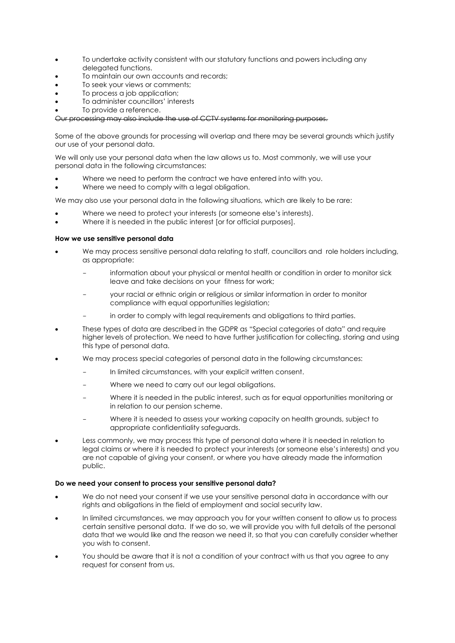- To undertake activity consistent with our statutory functions and powers including any delegated functions.
- To maintain our own accounts and records;
- To seek your views or comments;
- To process a job application;
- To administer councillors' interests
- To provide a reference.

# Our processing may also include the use of CCTV systems for monitoring purposes.

Some of the above grounds for processing will overlap and there may be several grounds which justify our use of your personal data.

We will only use your personal data when the law allows us to. Most commonly, we will use your personal data in the following circumstances:

- Where we need to perform the contract we have entered into with you.
- Where we need to comply with a legal obligation.

We may also use your personal data in the following situations, which are likely to be rare:

- Where we need to protect your interests (or someone else's interests).
- Where it is needed in the public interest [or for official purposes].

## **How we use sensitive personal data**

- We may process sensitive personal data relating to staff, councillors and role holders including, as appropriate:
	- information about your physical or mental health or condition in order to monitor sick leave and take decisions on your fitness for work;
	- your racial or ethnic origin or religious or similar information in order to monitor compliance with equal opportunities legislation;
	- in order to comply with legal requirements and obligations to third parties.
- These types of data are described in the GDPR as "Special categories of data" and require higher levels of protection. We need to have further justification for collecting, storing and using this type of personal data.
- We may process special categories of personal data in the following circumstances:
	- In limited circumstances, with your explicit written consent.
	- Where we need to carry out our legal obligations.
	- Where it is needed in the public interest, such as for equal opportunities monitoring or in relation to our pension scheme.
	- Where it is needed to assess your working capacity on health grounds, subject to appropriate confidentiality safeguards.
- Less commonly, we may process this type of personal data where it is needed in relation to legal claims or where it is needed to protect your interests (or someone else's interests) and you are not capable of giving your consent, or where you have already made the information public.

# **Do we need your consent to process your sensitive personal data?**

- We do not need your consent if we use your sensitive personal data in accordance with our rights and obligations in the field of employment and social security law.
- In limited circumstances, we may approach you for your written consent to allow us to process certain sensitive personal data. If we do so, we will provide you with full details of the personal data that we would like and the reason we need it, so that you can carefully consider whether you wish to consent.
- You should be aware that it is not a condition of your contract with us that you agree to any request for consent from us.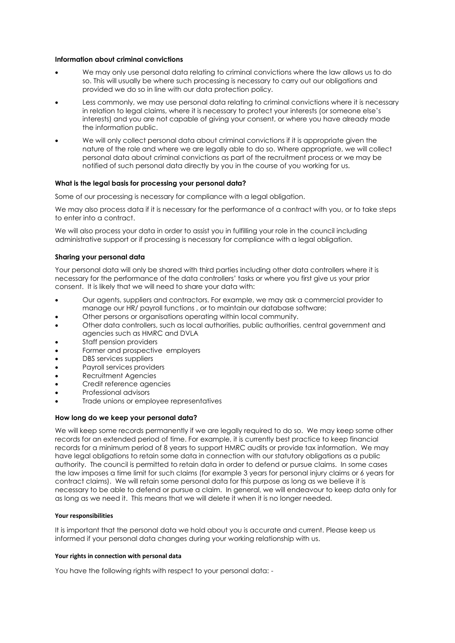## **Information about criminal convictions**

- We may only use personal data relating to criminal convictions where the law allows us to do so. This will usually be where such processing is necessary to carry out our obligations and provided we do so in line with our data protection policy.
- Less commonly, we may use personal data relating to criminal convictions where it is necessary in relation to legal claims, where it is necessary to protect your interests (or someone else's interests) and you are not capable of giving your consent, or where you have already made the information public.
- We will only collect personal data about criminal convictions if it is appropriate given the nature of the role and where we are legally able to do so. Where appropriate, we will collect personal data about criminal convictions as part of the recruitment process or we may be notified of such personal data directly by you in the course of you working for us.

# **What is the legal basis for processing your personal data?**

Some of our processing is necessary for compliance with a legal obligation.

We may also process data if it is necessary for the performance of a contract with you, or to take steps to enter into a contract.

We will also process your data in order to assist you in fulfilling your role in the council including administrative support or if processing is necessary for compliance with a legal obligation.

## **Sharing your personal data**

Your personal data will only be shared with third parties including other data controllers where it is necessary for the performance of the data controllers' tasks or where you first give us your prior consent. It is likely that we will need to share your data with:

- Our agents, suppliers and contractors. For example, we may ask a commercial provider to manage our HR/ payroll functions , or to maintain our database software;
- Other persons or organisations operating within local community.
- Other data controllers, such as local authorities, public authorities, central government and agencies such as HMRC and DVLA
- Staff pension providers
- Former and prospective employers
- DBS services suppliers
- Payroll services providers
- Recruitment Agencies
- Credit reference agencies
- Professional advisors
- Trade unions or employee representatives

#### **How long do we keep your personal data?**

We will keep some records permanently if we are legally required to do so. We may keep some other records for an extended period of time. For example, it is currently best practice to keep financial records for a minimum period of 8 years to support HMRC audits or provide tax information. We may have legal obligations to retain some data in connection with our statutory obligations as a public authority. The council is permitted to retain data in order to defend or pursue claims. In some cases the law imposes a time limit for such claims (for example 3 years for personal injury claims or 6 years for contract claims). We will retain some personal data for this purpose as long as we believe it is necessary to be able to defend or pursue a claim. In general, we will endeavour to keep data only for as long as we need it. This means that we will delete it when it is no longer needed.

#### **Your responsibilities**

It is important that the personal data we hold about you is accurate and current. Please keep us informed if your personal data changes during your working relationship with us.

# **Your rights in connection with personal data**

You have the following rights with respect to your personal data: -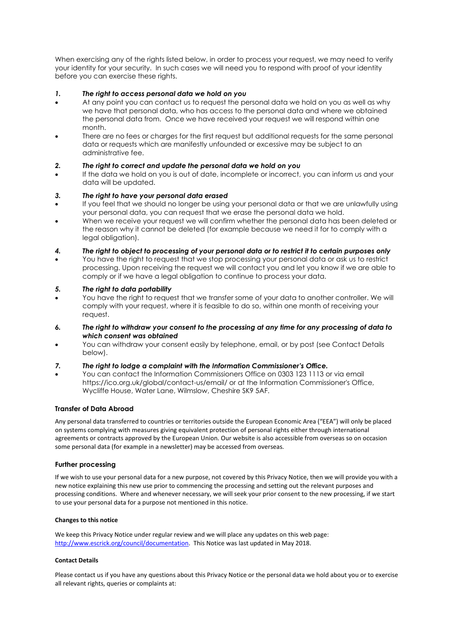When exercising any of the rights listed below, in order to process your request, we may need to verify your identity for your security. In such cases we will need you to respond with proof of your identity before you can exercise these rights.

# *1. The right to access personal data we hold on you*

- At any point you can contact us to request the personal data we hold on you as well as why we have that personal data, who has access to the personal data and where we obtained the personal data from. Once we have received your request we will respond within one month.
- There are no fees or charges for the first request but additional requests for the same personal data or requests which are manifestly unfounded or excessive may be subject to an administrative fee.

# *2. The right to correct and update the personal data we hold on you*

• If the data we hold on you is out of date, incomplete or incorrect, you can inform us and your data will be updated.

# *3. The right to have your personal data erased*

- If you feel that we should no longer be using your personal data or that we are unlawfully using your personal data, you can request that we erase the personal data we hold.
- When we receive your request we will confirm whether the personal data has been deleted or the reason why it cannot be deleted (for example because we need it for to comply with a legal obligation).
- *4. The right to object to processing of your personal data or to restrict it to certain purposes only*
- You have the right to request that we stop processing your personal data or ask us to restrict processing. Upon receiving the request we will contact you and let you know if we are able to comply or if we have a legal obligation to continue to process your data.

# *5. The right to data portability*

- You have the right to request that we transfer some of your data to another controller. We will comply with your request, where it is feasible to do so, within one month of receiving your request.
- *6. The right to withdraw your consent to the processing at any time for any processing of data to which consent was obtained*
- You can withdraw your consent easily by telephone, email, or by post (see Contact Details below).

# *7. The right to lodge a complaint with the Information Commissioner's Office.*

• You can contact the Information Commissioners Office on 0303 123 1113 or via email https://ico.org.uk/global/contact-us/email/ or at the Information Commissioner's Office, Wycliffe House, Water Lane, Wilmslow, Cheshire SK9 5AF.

# **Transfer of Data Abroad**

Any personal data transferred to countries or territories outside the European Economic Area ("EEA") will only be placed on systems complying with measures giving equivalent protection of personal rights either through international agreements or contracts approved by the European Union. Our website is also accessible from overseas so on occasion some personal data (for example in a newsletter) may be accessed from overseas.

# **Further processing**

If we wish to use your personal data for a new purpose, not covered by this Privacy Notice, then we will provide you with a new notice explaining this new use prior to commencing the processing and setting out the relevant purposes and processing conditions. Where and whenever necessary, we will seek your prior consent to the new processing, if we start to use your personal data for a purpose not mentioned in this notice.

#### **Changes to this notice**

We keep this Privacy Notice under regular review and we will place any updates on this web page: [http://www.escrick.org/council/documentation.](http://www.escrick.org/council/documentation) This Notice was last updated in May 2018.

#### **Contact Details**

Please contact us if you have any questions about this Privacy Notice or the personal data we hold about you or to exercise all relevant rights, queries or complaints at: